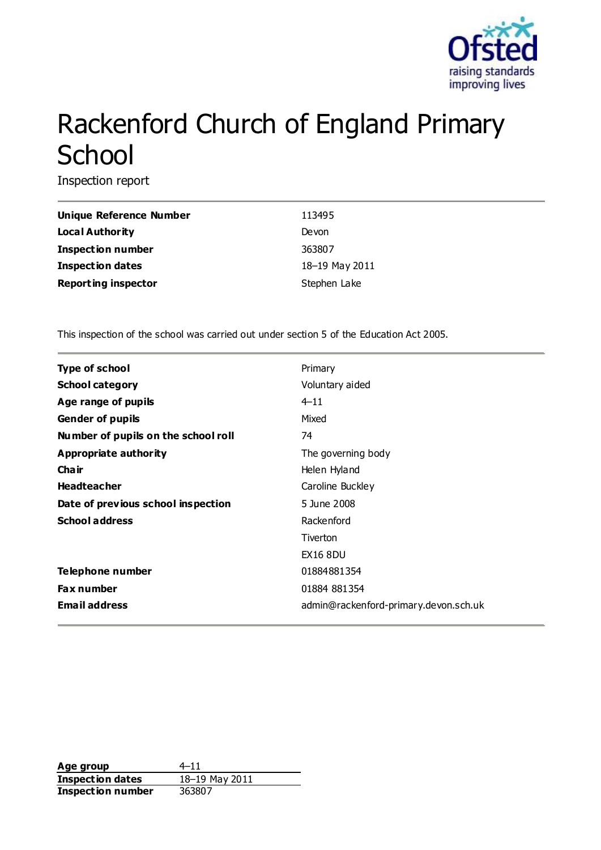

# Rackenford Church of England Primary **School**

Inspection report

| <b>Unique Reference Number</b> | 113495         |
|--------------------------------|----------------|
| Local Authority                | Devon          |
| <b>Inspection number</b>       | 363807         |
| Inspection dates               | 18-19 May 2011 |
| <b>Reporting inspector</b>     | Stephen Lake   |

This inspection of the school was carried out under section 5 of the Education Act 2005.

| <b>Type of school</b>               | Primary                               |
|-------------------------------------|---------------------------------------|
| <b>School category</b>              | Voluntary aided                       |
| Age range of pupils                 | $4 - 11$                              |
| <b>Gender of pupils</b>             | Mixed                                 |
| Number of pupils on the school roll | 74                                    |
| Appropriate authority               | The governing body                    |
| Cha ir                              | Helen Hyland                          |
| <b>Headteacher</b>                  | Caroline Buckley                      |
| Date of previous school inspection  | 5 June 2008                           |
| <b>School address</b>               | Rackenford                            |
|                                     | Tiverton                              |
|                                     | <b>EX16 8DU</b>                       |
| Telephone number                    | 01884881354                           |
| <b>Fax number</b>                   | 01884 881354                          |
| <b>Email address</b>                | admin@rackenford-primary.devon.sch.uk |

**Age group** 4–11<br> **Inspection dates** 18–19 May 2011 **Inspection dates Inspection number** 363807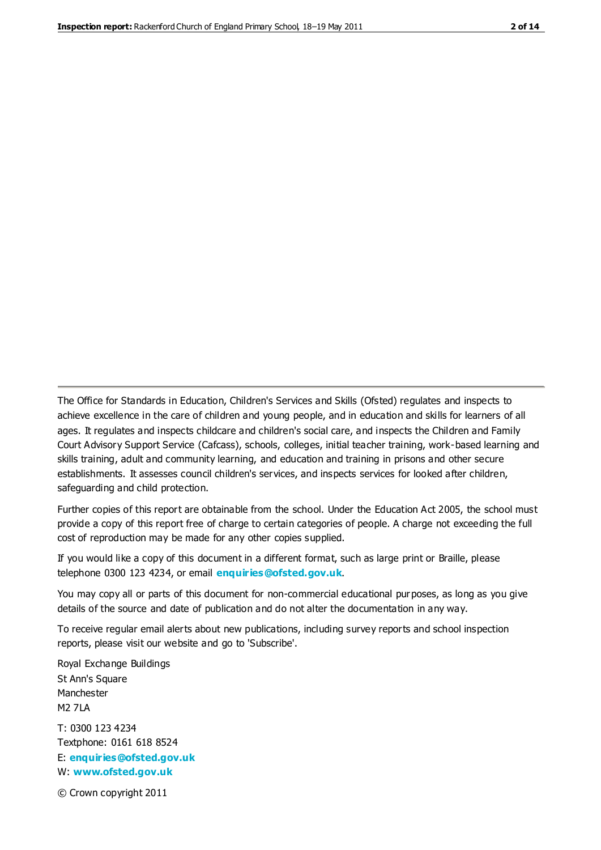The Office for Standards in Education, Children's Services and Skills (Ofsted) regulates and inspects to achieve excellence in the care of children and young people, and in education and skills for learners of all ages. It regulates and inspects childcare and children's social care, and inspects the Children and Family Court Advisory Support Service (Cafcass), schools, colleges, initial teacher training, work-based learning and skills training, adult and community learning, and education and training in prisons and other secure establishments. It assesses council children's services, and inspects services for looked after children, safeguarding and child protection.

Further copies of this report are obtainable from the school. Under the Education Act 2005, the school must provide a copy of this report free of charge to certain categories of people. A charge not exceeding the full cost of reproduction may be made for any other copies supplied.

If you would like a copy of this document in a different format, such as large print or Braille, please telephone 0300 123 4234, or email **[enquiries@ofsted.gov.uk](mailto:enquiries@ofsted.gov.uk)**.

You may copy all or parts of this document for non-commercial educational purposes, as long as you give details of the source and date of publication and do not alter the documentation in any way.

To receive regular email alerts about new publications, including survey reports and school inspection reports, please visit our website and go to 'Subscribe'.

Royal Exchange Buildings St Ann's Square Manchester M2 7LA T: 0300 123 4234 Textphone: 0161 618 8524 E: **[enquiries@ofsted.gov.uk](mailto:enquiries@ofsted.gov.uk)**

W: **[www.ofsted.gov.uk](http://www.ofsted.gov.uk/)**

© Crown copyright 2011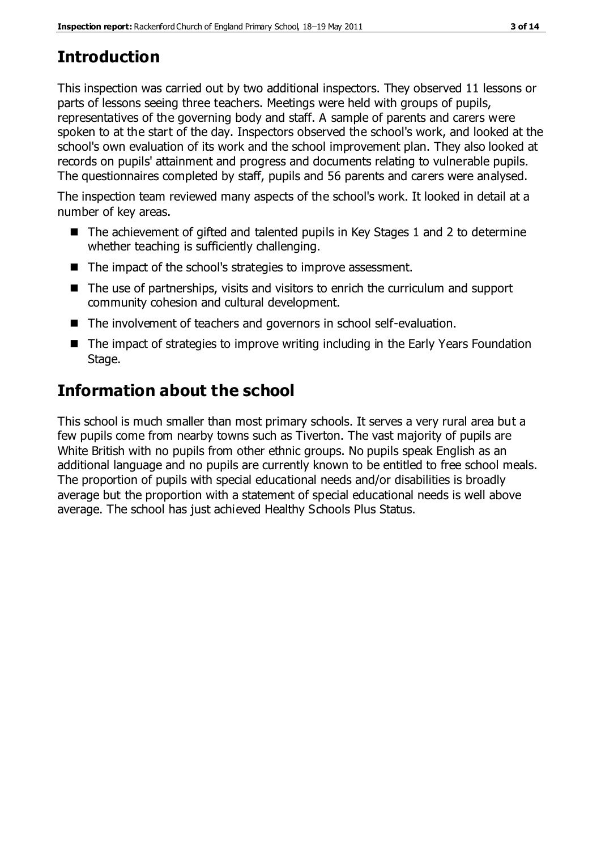# **Introduction**

This inspection was carried out by two additional inspectors. They observed 11 lessons or parts of lessons seeing three teachers. Meetings were held with groups of pupils, representatives of the governing body and staff. A sample of parents and carers were spoken to at the start of the day. Inspectors observed the school's work, and looked at the school's own evaluation of its work and the school improvement plan. They also looked at records on pupils' attainment and progress and documents relating to vulnerable pupils. The questionnaires completed by staff, pupils and 56 parents and carers were analysed.

The inspection team reviewed many aspects of the school's work. It looked in detail at a number of key areas.

- $\blacksquare$  The achievement of gifted and talented pupils in Key Stages 1 and 2 to determine whether teaching is sufficiently challenging.
- The impact of the school's strategies to improve assessment.
- The use of partnerships, visits and visitors to enrich the curriculum and support community cohesion and cultural development.
- The involvement of teachers and governors in school self-evaluation.
- The impact of strategies to improve writing including in the Early Years Foundation Stage.

## **Information about the school**

This school is much smaller than most primary schools. It serves a very rural area but a few pupils come from nearby towns such as Tiverton. The vast majority of pupils are White British with no pupils from other ethnic groups. No pupils speak English as an additional language and no pupils are currently known to be entitled to free school meals. The proportion of pupils with special educational needs and/or disabilities is broadly average but the proportion with a statement of special educational needs is well above average. The school has just achieved Healthy Schools Plus Status.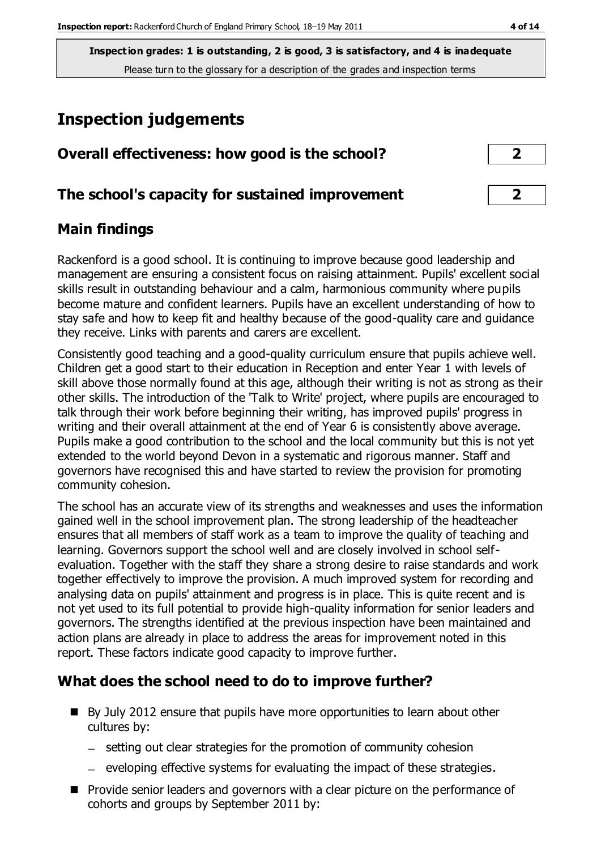**Inspection grades: 1 is outstanding, 2 is good, 3 is satisfactory, and 4 is inadequate** Please turn to the glossary for a description of the grades and inspection terms

## **Inspection judgements**

| Overall effectiveness: how good is the school?  |  |
|-------------------------------------------------|--|
| The school's capacity for sustained improvement |  |

## **Main findings**

Rackenford is a good school. It is continuing to improve because good leadership and management are ensuring a consistent focus on raising attainment. Pupils' excellent social skills result in outstanding behaviour and a calm, harmonious community where pupils become mature and confident learners. Pupils have an excellent understanding of how to stay safe and how to keep fit and healthy because of the good-quality care and guidance they receive. Links with parents and carers are excellent.

Consistently good teaching and a good-quality curriculum ensure that pupils achieve well. Children get a good start to their education in Reception and enter Year 1 with levels of skill above those normally found at this age, although their writing is not as strong as their other skills. The introduction of the 'Talk to Write' project, where pupils are encouraged to talk through their work before beginning their writing, has improved pupils' progress in writing and their overall attainment at the end of Year 6 is consistently above average. Pupils make a good contribution to the school and the local community but this is not yet extended to the world beyond Devon in a systematic and rigorous manner. Staff and governors have recognised this and have started to review the provision for promoting community cohesion.

The school has an accurate view of its strengths and weaknesses and uses the information gained well in the school improvement plan. The strong leadership of the headteacher ensures that all members of staff work as a team to improve the quality of teaching and learning. Governors support the school well and are closely involved in school selfevaluation. Together with the staff they share a strong desire to raise standards and work together effectively to improve the provision. A much improved system for recording and analysing data on pupils' attainment and progress is in place. This is quite recent and is not yet used to its full potential to provide high-quality information for senior leaders and governors. The strengths identified at the previous inspection have been maintained and action plans are already in place to address the areas for improvement noted in this report. These factors indicate good capacity to improve further.

## **What does the school need to do to improve further?**

- By July 2012 ensure that pupils have more opportunities to learn about other cultures by:
	- setting out clear strategies for the promotion of community cohesion
	- $-$  eveloping effective systems for evaluating the impact of these strategies.
- **Provide senior leaders and governors with a clear picture on the performance of** cohorts and groups by September 2011 by: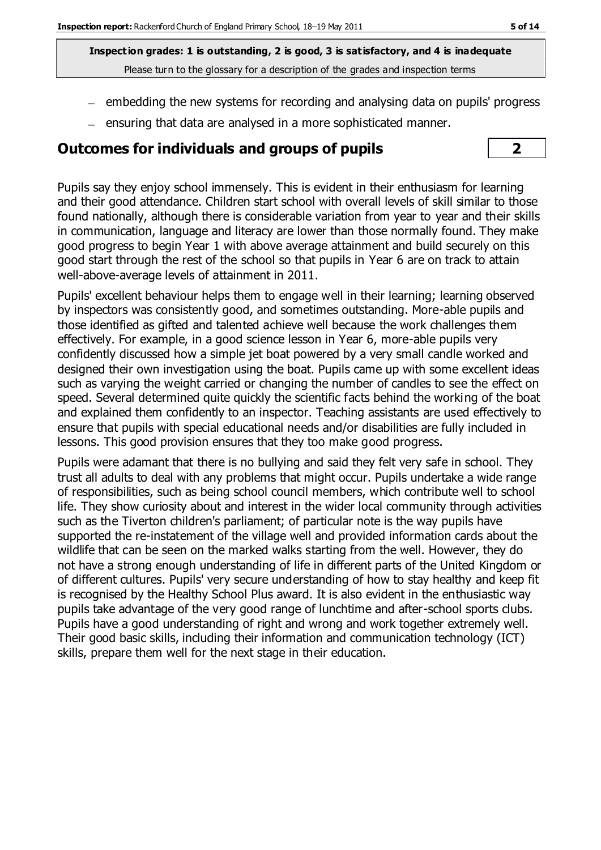**Inspection grades: 1 is outstanding, 2 is good, 3 is satisfactory, and 4 is inadequate** Please turn to the glossary for a description of the grades and inspection terms

- $=$  embedding the new systems for recording and analysing data on pupils' progress
- $=$  ensuring that data are analysed in a more sophisticated manner.

## **Outcomes for individuals and groups of pupils 2**



Pupils say they enjoy school immensely. This is evident in their enthusiasm for learning and their good attendance. Children start school with overall levels of skill similar to those found nationally, although there is considerable variation from year to year and their skills in communication, language and literacy are lower than those normally found. They make good progress to begin Year 1 with above average attainment and build securely on this good start through the rest of the school so that pupils in Year 6 are on track to attain well-above-average levels of attainment in 2011.

Pupils' excellent behaviour helps them to engage well in their learning; learning observed by inspectors was consistently good, and sometimes outstanding. More-able pupils and those identified as gifted and talented achieve well because the work challenges them effectively. For example, in a good science lesson in Year 6, more-able pupils very confidently discussed how a simple jet boat powered by a very small candle worked and designed their own investigation using the boat. Pupils came up with some excellent ideas such as varying the weight carried or changing the number of candles to see the effect on speed. Several determined quite quickly the scientific facts behind the working of the boat and explained them confidently to an inspector. Teaching assistants are used effectively to ensure that pupils with special educational needs and/or disabilities are fully included in lessons. This good provision ensures that they too make good progress.

Pupils were adamant that there is no bullying and said they felt very safe in school. They trust all adults to deal with any problems that might occur. Pupils undertake a wide range of responsibilities, such as being school council members, which contribute well to school life. They show curiosity about and interest in the wider local community through activities such as the Tiverton children's parliament; of particular note is the way pupils have supported the re-instatement of the village well and provided information cards about the wildlife that can be seen on the marked walks starting from the well. However, they do not have a strong enough understanding of life in different parts of the United Kingdom or of different cultures. Pupils' very secure understanding of how to stay healthy and keep fit is recognised by the Healthy School Plus award. It is also evident in the enthusiastic way pupils take advantage of the very good range of lunchtime and after-school sports clubs. Pupils have a good understanding of right and wrong and work together extremely well. Their good basic skills, including their information and communication technology (ICT) skills, prepare them well for the next stage in their education.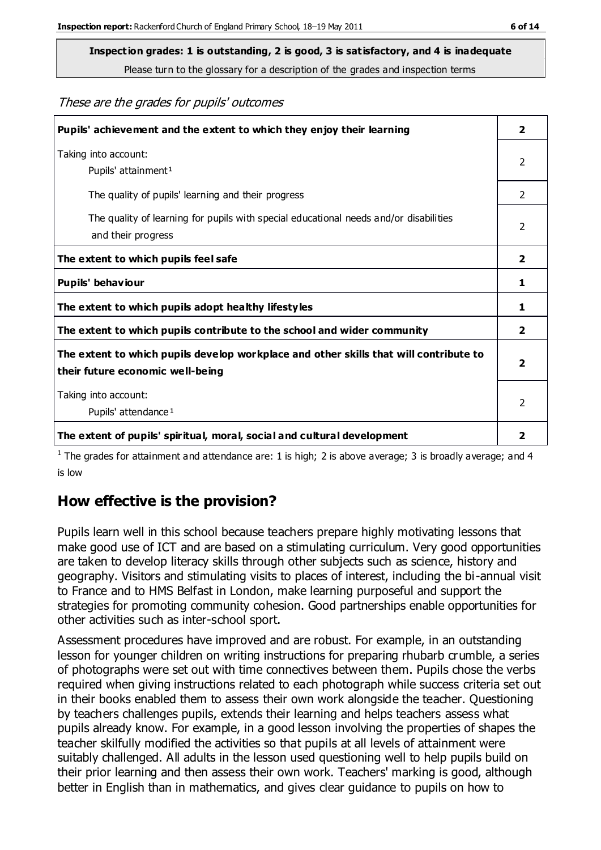Please turn to the glossary for a description of the grades and inspection terms

These are the grades for pupils' outcomes

| Pupils' achievement and the extent to which they enjoy their learning                                                     | $\overline{\mathbf{2}}$ |
|---------------------------------------------------------------------------------------------------------------------------|-------------------------|
| Taking into account:<br>Pupils' attainment <sup>1</sup>                                                                   | 2                       |
| The quality of pupils' learning and their progress                                                                        | $\mathcal{P}$           |
| The quality of learning for pupils with special educational needs and/or disabilities<br>and their progress               | $\mathfrak{p}$          |
| The extent to which pupils feel safe                                                                                      | $\mathbf{2}$            |
| Pupils' behaviour                                                                                                         | 1                       |
| The extent to which pupils adopt healthy lifestyles                                                                       | 1                       |
| The extent to which pupils contribute to the school and wider community                                                   |                         |
| The extent to which pupils develop workplace and other skills that will contribute to<br>their future economic well-being |                         |
| Taking into account:<br>Pupils' attendance <sup>1</sup>                                                                   |                         |
| The extent of pupils' spiritual, moral, social and cultural development                                                   | 2                       |

<sup>1</sup> The grades for attainment and attendance are: 1 is high; 2 is above average; 3 is broadly average; and 4 is low

## **How effective is the provision?**

Pupils learn well in this school because teachers prepare highly motivating lessons that make good use of ICT and are based on a stimulating curriculum. Very good opportunities are taken to develop literacy skills through other subjects such as science, history and geography. Visitors and stimulating visits to places of interest, including the bi-annual visit to France and to HMS Belfast in London, make learning purposeful and support the strategies for promoting community cohesion. Good partnerships enable opportunities for other activities such as inter-school sport.

Assessment procedures have improved and are robust. For example, in an outstanding lesson for younger children on writing instructions for preparing rhubarb crumble, a series of photographs were set out with time connectives between them. Pupils chose the verbs required when giving instructions related to each photograph while success criteria set out in their books enabled them to assess their own work alongside the teacher. Questioning by teachers challenges pupils, extends their learning and helps teachers assess what pupils already know. For example, in a good lesson involving the properties of shapes the teacher skilfully modified the activities so that pupils at all levels of attainment were suitably challenged. All adults in the lesson used questioning well to help pupils build on their prior learning and then assess their own work. Teachers' marking is good, although better in English than in mathematics, and gives clear guidance to pupils on how to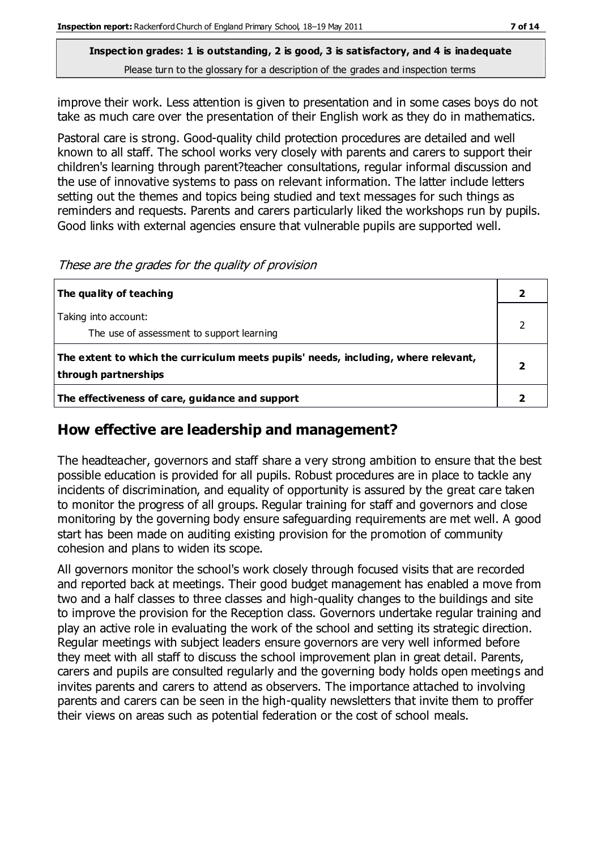Please turn to the glossary for a description of the grades and inspection terms

improve their work. Less attention is given to presentation and in some cases boys do not take as much care over the presentation of their English work as they do in mathematics.

Pastoral care is strong. Good-quality child protection procedures are detailed and well known to all staff. The school works very closely with parents and carers to support their children's learning through parent?teacher consultations, regular informal discussion and the use of innovative systems to pass on relevant information. The latter include letters setting out the themes and topics being studied and text messages for such things as reminders and requests. Parents and carers particularly liked the workshops run by pupils. Good links with external agencies ensure that vulnerable pupils are supported well.

These are the grades for the quality of provision

| The quality of teaching                                                                                    |  |
|------------------------------------------------------------------------------------------------------------|--|
| Taking into account:<br>The use of assessment to support learning                                          |  |
| The extent to which the curriculum meets pupils' needs, including, where relevant,<br>through partnerships |  |
| The effectiveness of care, guidance and support                                                            |  |

## **How effective are leadership and management?**

The headteacher, governors and staff share a very strong ambition to ensure that the best possible education is provided for all pupils. Robust procedures are in place to tackle any incidents of discrimination, and equality of opportunity is assured by the great care taken to monitor the progress of all groups. Regular training for staff and governors and close monitoring by the governing body ensure safeguarding requirements are met well. A good start has been made on auditing existing provision for the promotion of community cohesion and plans to widen its scope.

All governors monitor the school's work closely through focused visits that are recorded and reported back at meetings. Their good budget management has enabled a move from two and a half classes to three classes and high-quality changes to the buildings and site to improve the provision for the Reception class. Governors undertake regular training and play an active role in evaluating the work of the school and setting its strategic direction. Regular meetings with subject leaders ensure governors are very well informed before they meet with all staff to discuss the school improvement plan in great detail. Parents, carers and pupils are consulted regularly and the governing body holds open meetings and invites parents and carers to attend as observers. The importance attached to involving parents and carers can be seen in the high-quality newsletters that invite them to proffer their views on areas such as potential federation or the cost of school meals.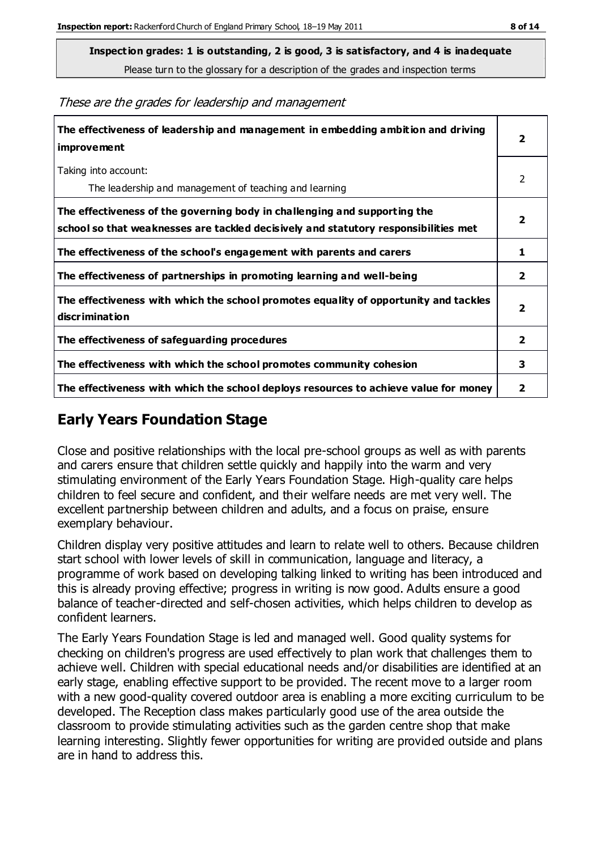Please turn to the glossary for a description of the grades and inspection terms

These are the grades for leadership and management

| The effectiveness of leadership and management in embedding ambition and driving<br>improvement                                                                  |                         |
|------------------------------------------------------------------------------------------------------------------------------------------------------------------|-------------------------|
| Taking into account:<br>The leadership and management of teaching and learning                                                                                   | 2                       |
| The effectiveness of the governing body in challenging and supporting the<br>school so that weaknesses are tackled decisively and statutory responsibilities met | $\overline{\mathbf{2}}$ |
| The effectiveness of the school's engagement with parents and carers                                                                                             | 1                       |
| The effectiveness of partnerships in promoting learning and well-being                                                                                           | $\overline{2}$          |
| The effectiveness with which the school promotes equality of opportunity and tackles<br>discrimination                                                           | $\overline{\mathbf{2}}$ |
| The effectiveness of safeguarding procedures                                                                                                                     | $\overline{\mathbf{2}}$ |
| The effectiveness with which the school promotes community cohesion                                                                                              |                         |
| The effectiveness with which the school deploys resources to achieve value for money                                                                             |                         |

## **Early Years Foundation Stage**

Close and positive relationships with the local pre-school groups as well as with parents and carers ensure that children settle quickly and happily into the warm and very stimulating environment of the Early Years Foundation Stage. High-quality care helps children to feel secure and confident, and their welfare needs are met very well. The excellent partnership between children and adults, and a focus on praise, ensure exemplary behaviour.

Children display very positive attitudes and learn to relate well to others. Because children start school with lower levels of skill in communication, language and literacy, a programme of work based on developing talking linked to writing has been introduced and this is already proving effective; progress in writing is now good. Adults ensure a good balance of teacher-directed and self-chosen activities, which helps children to develop as confident learners.

The Early Years Foundation Stage is led and managed well. Good quality systems for checking on children's progress are used effectively to plan work that challenges them to achieve well. Children with special educational needs and/or disabilities are identified at an early stage, enabling effective support to be provided. The recent move to a larger room with a new good-quality covered outdoor area is enabling a more exciting curriculum to be developed. The Reception class makes particularly good use of the area outside the classroom to provide stimulating activities such as the garden centre shop that make learning interesting. Slightly fewer opportunities for writing are provided outside and plans are in hand to address this.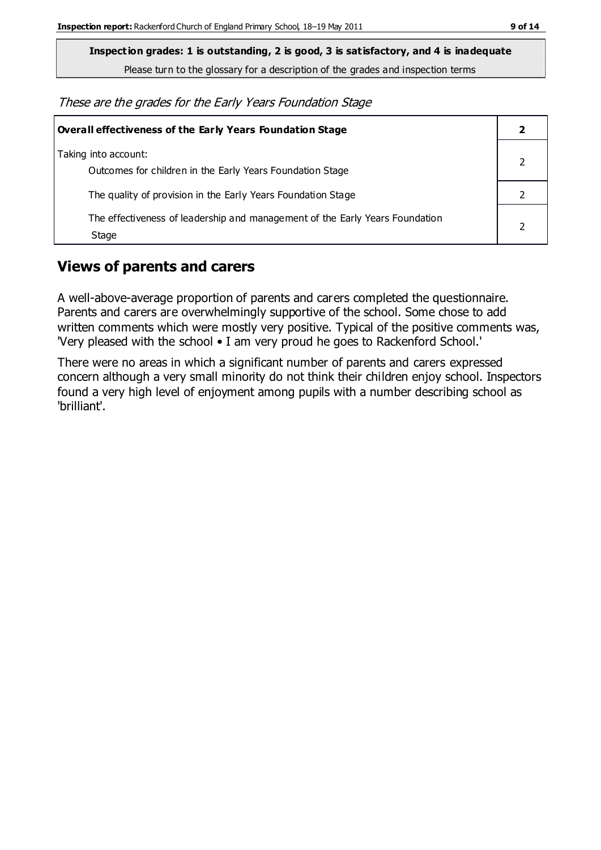Please turn to the glossary for a description of the grades and inspection terms

These are the grades for the Early Years Foundation Stage

| <b>Overall effectiveness of the Early Years Foundation Stage</b>                      |  |
|---------------------------------------------------------------------------------------|--|
| Taking into account:<br>Outcomes for children in the Early Years Foundation Stage     |  |
| The quality of provision in the Early Years Foundation Stage                          |  |
| The effectiveness of leadership and management of the Early Years Foundation<br>Stage |  |

## **Views of parents and carers**

A well-above-average proportion of parents and carers completed the questionnaire. Parents and carers are overwhelmingly supportive of the school. Some chose to add written comments which were mostly very positive. Typical of the positive comments was, 'Very pleased with the school • I am very proud he goes to Rackenford School.'

There were no areas in which a significant number of parents and carers expressed concern although a very small minority do not think their children enjoy school. Inspectors found a very high level of enjoyment among pupils with a number describing school as 'brilliant'.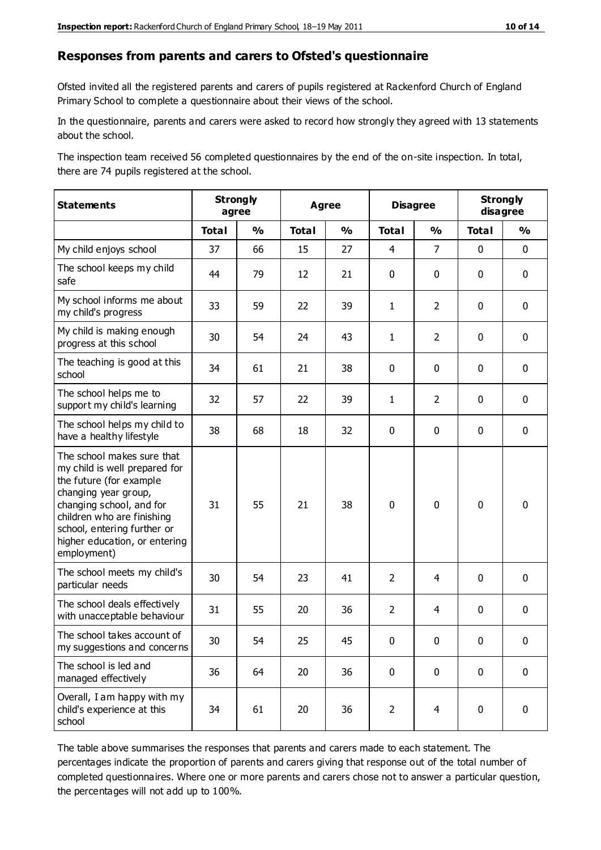#### **Responses from parents and carers to Ofsted's questionnaire**

Ofsted invited all the registered parents and carers of pupils registered at Rackenford Church of England Primary School to complete a questionnaire about their views of the school.

In the questionnaire, parents and carers were asked to record how strongly they agreed with 13 statements about the school.

The inspection team received 56 completed questionnaires by the end of the on-site inspection. In total, there are 74 pupils registered at the school.

| <b>Statements</b>                                                                                                                                                                                                                                       | <b>Strongly</b><br>agree |               | <b>Agree</b> |                         |                | <b>Disagree</b> |              | <b>Strongly</b><br>disagree |  |
|---------------------------------------------------------------------------------------------------------------------------------------------------------------------------------------------------------------------------------------------------------|--------------------------|---------------|--------------|-------------------------|----------------|-----------------|--------------|-----------------------------|--|
|                                                                                                                                                                                                                                                         | <b>Total</b>             | $\frac{1}{2}$ | <b>Total</b> | $\mathbf{O}/\mathbf{o}$ | <b>Total</b>   | $\frac{1}{2}$   | <b>Total</b> | $\frac{1}{2}$               |  |
| My child enjoys school                                                                                                                                                                                                                                  | 37                       | 66            | 15           | 27                      | 4              | $\overline{7}$  | $\mathbf 0$  | $\mathbf 0$                 |  |
| The school keeps my child<br>safe                                                                                                                                                                                                                       | 44                       | 79            | 12           | 21                      | 0              | 0               | $\mathbf 0$  | $\mathbf 0$                 |  |
| My school informs me about<br>my child's progress                                                                                                                                                                                                       | 33                       | 59            | 22           | 39                      | 1              | $\overline{2}$  | $\mathbf 0$  | $\mathbf 0$                 |  |
| My child is making enough<br>progress at this school                                                                                                                                                                                                    | 30                       | 54            | 24           | 43                      | $\mathbf{1}$   | $\overline{2}$  | $\mathbf 0$  | $\pmb{0}$                   |  |
| The teaching is good at this<br>school                                                                                                                                                                                                                  | 34                       | 61            | 21           | 38                      | 0              | 0               | $\mathbf 0$  | $\mathbf 0$                 |  |
| The school helps me to<br>support my child's learning                                                                                                                                                                                                   | 32                       | 57            | 22           | 39                      | 1              | $\overline{2}$  | 0            | $\mathbf 0$                 |  |
| The school helps my child to<br>have a healthy lifestyle                                                                                                                                                                                                | 38                       | 68            | 18           | 32                      | 0              | 0               | $\mathbf 0$  | $\mathbf 0$                 |  |
| The school makes sure that<br>my child is well prepared for<br>the future (for example<br>changing year group,<br>changing school, and for<br>children who are finishing<br>school, entering further or<br>higher education, or entering<br>employment) | 31                       | 55            | 21           | 38                      | $\mathbf 0$    | 0               | $\mathbf 0$  | $\mathbf 0$                 |  |
| The school meets my child's<br>particular needs                                                                                                                                                                                                         | 30                       | 54            | 23           | 41                      | $\overline{2}$ | 4               | $\mathbf 0$  | $\mathbf 0$                 |  |
| The school deals effectively<br>with unacceptable behaviour                                                                                                                                                                                             | 31                       | 55            | 20           | 36                      | $\overline{2}$ | $\overline{4}$  | 0            | $\pmb{0}$                   |  |
| The school takes account of<br>my suggestions and concerns                                                                                                                                                                                              | 30                       | 54            | 25           | 45                      | $\Omega$       | $\Omega$        | $\Omega$     | $\Omega$                    |  |
| The school is led and<br>managed effectively                                                                                                                                                                                                            | 36                       | 64            | 20           | 36                      | $\pmb{0}$      | 0               | $\mathbf 0$  | $\mathbf 0$                 |  |
| Overall, I am happy with my<br>child's experience at this<br>school                                                                                                                                                                                     | 34                       | 61            | 20           | 36                      | $\overline{2}$ | $\overline{4}$  | $\mathbf 0$  | $\mathbf 0$                 |  |

The table above summarises the responses that parents and carers made to each statement. The percentages indicate the proportion of parents and carers giving that response out of the total number of completed questionnaires. Where one or more parents and carers chose not to answer a particular question, the percentages will not add up to 100%.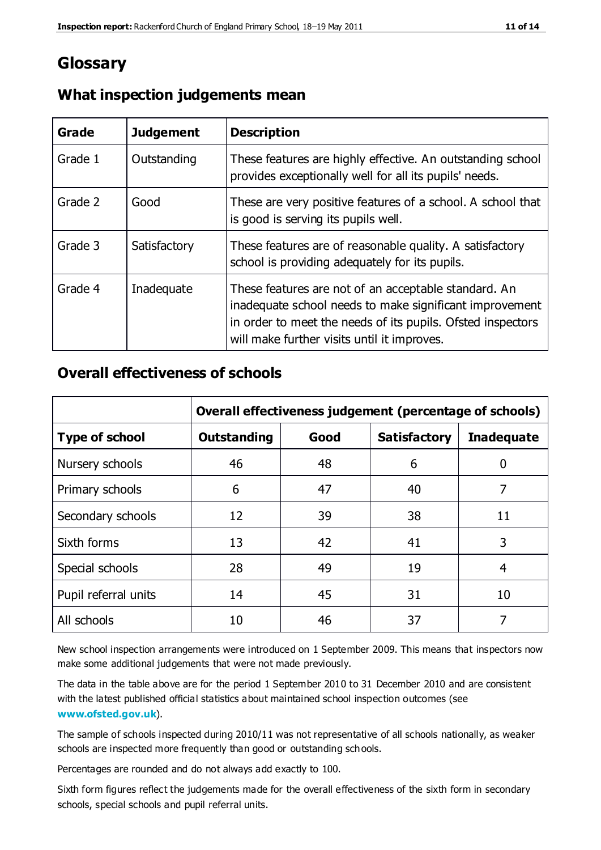## **Glossary**

| Grade   | <b>Judgement</b> | <b>Description</b>                                                                                                                                                                                                            |
|---------|------------------|-------------------------------------------------------------------------------------------------------------------------------------------------------------------------------------------------------------------------------|
| Grade 1 | Outstanding      | These features are highly effective. An outstanding school<br>provides exceptionally well for all its pupils' needs.                                                                                                          |
| Grade 2 | Good             | These are very positive features of a school. A school that<br>is good is serving its pupils well.                                                                                                                            |
| Grade 3 | Satisfactory     | These features are of reasonable quality. A satisfactory<br>school is providing adequately for its pupils.                                                                                                                    |
| Grade 4 | Inadequate       | These features are not of an acceptable standard. An<br>inadequate school needs to make significant improvement<br>in order to meet the needs of its pupils. Ofsted inspectors<br>will make further visits until it improves. |

#### **What inspection judgements mean**

## **Overall effectiveness of schools**

|                       | Overall effectiveness judgement (percentage of schools) |      |                     |                   |
|-----------------------|---------------------------------------------------------|------|---------------------|-------------------|
| <b>Type of school</b> | <b>Outstanding</b>                                      | Good | <b>Satisfactory</b> | <b>Inadequate</b> |
| Nursery schools       | 46                                                      | 48   | 6                   |                   |
| Primary schools       | 6                                                       | 47   | 40                  | 7                 |
| Secondary schools     | 12                                                      | 39   | 38                  | 11                |
| Sixth forms           | 13                                                      | 42   | 41                  | 3                 |
| Special schools       | 28                                                      | 49   | 19                  | 4                 |
| Pupil referral units  | 14                                                      | 45   | 31                  | 10                |
| All schools           | 10                                                      | 46   | 37                  |                   |

New school inspection arrangements were introduced on 1 September 2009. This means that inspectors now make some additional judgements that were not made previously.

The data in the table above are for the period 1 September 2010 to 31 December 2010 and are consistent with the latest published official statistics about maintained school inspection outcomes (see **[www.ofsted.gov.uk](http://www.ofsted.gov.uk/)**).

The sample of schools inspected during 2010/11 was not representative of all schools nationally, as weaker schools are inspected more frequently than good or outstanding schools.

Percentages are rounded and do not always add exactly to 100.

Sixth form figures reflect the judgements made for the overall effectiveness of the sixth form in secondary schools, special schools and pupil referral units.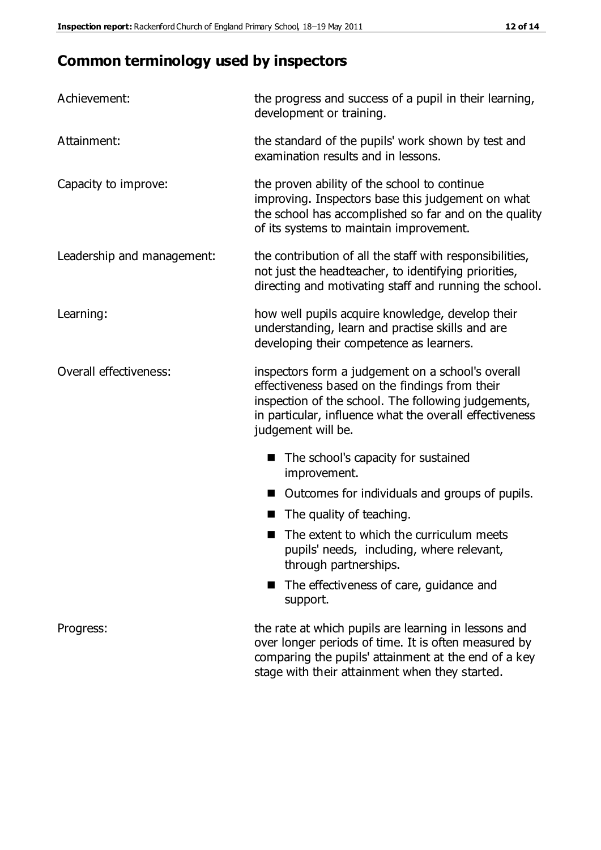## **Common terminology used by inspectors**

| Achievement:               | the progress and success of a pupil in their learning,<br>development or training.                                                                                                                                                          |  |  |
|----------------------------|---------------------------------------------------------------------------------------------------------------------------------------------------------------------------------------------------------------------------------------------|--|--|
| Attainment:                | the standard of the pupils' work shown by test and<br>examination results and in lessons.                                                                                                                                                   |  |  |
| Capacity to improve:       | the proven ability of the school to continue<br>improving. Inspectors base this judgement on what<br>the school has accomplished so far and on the quality<br>of its systems to maintain improvement.                                       |  |  |
| Leadership and management: | the contribution of all the staff with responsibilities,<br>not just the headteacher, to identifying priorities,<br>directing and motivating staff and running the school.                                                                  |  |  |
| Learning:                  | how well pupils acquire knowledge, develop their<br>understanding, learn and practise skills and are<br>developing their competence as learners.                                                                                            |  |  |
| Overall effectiveness:     | inspectors form a judgement on a school's overall<br>effectiveness based on the findings from their<br>inspection of the school. The following judgements,<br>in particular, influence what the overall effectiveness<br>judgement will be. |  |  |
|                            | The school's capacity for sustained<br>improvement.                                                                                                                                                                                         |  |  |
|                            | Outcomes for individuals and groups of pupils.                                                                                                                                                                                              |  |  |
|                            | The quality of teaching.                                                                                                                                                                                                                    |  |  |
|                            | The extent to which the curriculum meets<br>pupils' needs, including, where relevant,<br>through partnerships.                                                                                                                              |  |  |
|                            | The effectiveness of care, guidance and<br>support.                                                                                                                                                                                         |  |  |
| Progress:                  | the rate at which pupils are learning in lessons and<br>over longer periods of time. It is often measured by<br>comparing the pupils' attainment at the end of a key                                                                        |  |  |

stage with their attainment when they started.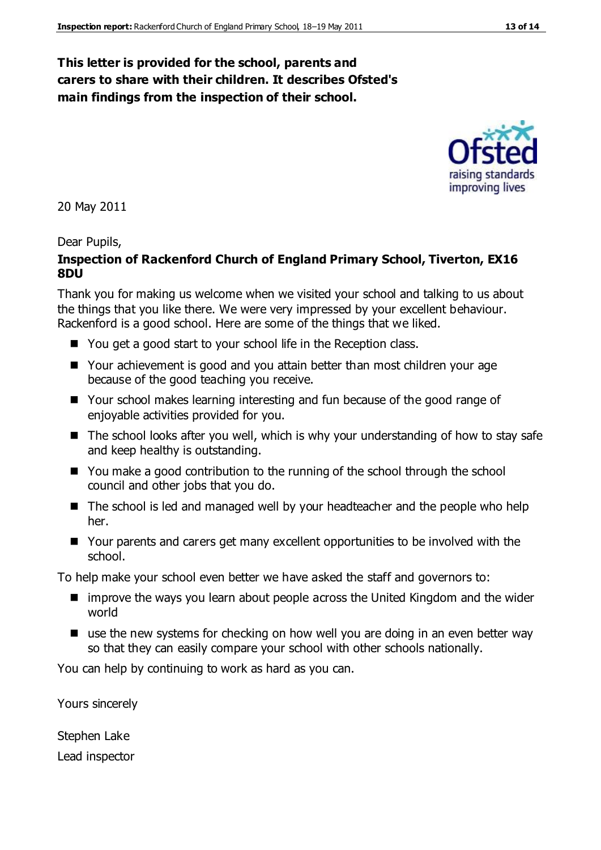## **This letter is provided for the school, parents and carers to share with their children. It describes Ofsted's main findings from the inspection of their school.**

20 May 2011

#### Dear Pupils,

#### **Inspection of Rackenford Church of England Primary School, Tiverton, EX16 8DU**

Thank you for making us welcome when we visited your school and talking to us about the things that you like there. We were very impressed by your excellent behaviour. Rackenford is a good school. Here are some of the things that we liked.

- You get a good start to your school life in the Reception class.
- Your achievement is good and you attain better than most children your age because of the good teaching you receive.
- Your school makes learning interesting and fun because of the good range of enjoyable activities provided for you.
- $\blacksquare$  The school looks after you well, which is why your understanding of how to stay safe and keep healthy is outstanding.
- You make a good contribution to the running of the school through the school council and other jobs that you do.
- The school is led and managed well by your headteacher and the people who help her.
- Your parents and carers get many excellent opportunities to be involved with the school.

To help make your school even better we have asked the staff and governors to:

- improve the ways you learn about people across the United Kingdom and the wider world
- use the new systems for checking on how well you are doing in an even better way so that they can easily compare your school with other schools nationally.

You can help by continuing to work as hard as you can.

Yours sincerely

Stephen Lake Lead inspector